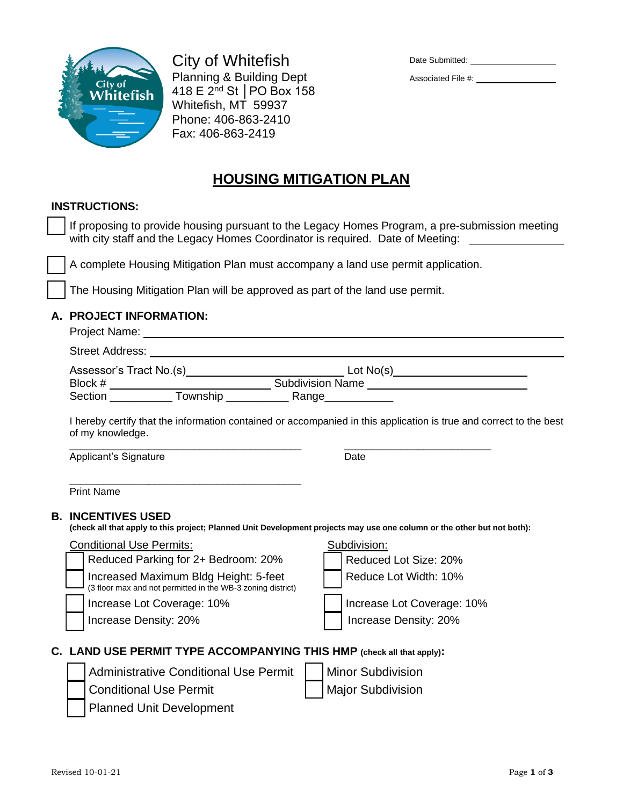

City of Whitefish Planning & Building Dept 418 E 2nd St │PO Box 158 Whitefish, MT 59937 Phone: 406-863-2410 Fax: 406-863-2419

| Date Submitted: |
|-----------------|
|                 |

Associated File #:

# **HOUSING MITIGATION PLAN**

### **INSTRUCTIONS:**

If proposing to provide housing pursuant to the Legacy Homes Program, a pre-submission meeting with city staff and the Legacy Homes Coordinator is required. Date of Meeting:

❑ A complete Housing Mitigation Plan must accompany a land use permit application.

The Housing Mitigation Plan will be approved as part of the land use permit.

## **A. PROJECT INFORMATION:**

Street Address:

|         | Assessor's Tract No.(s) | Lot $No(s)$             |  |
|---------|-------------------------|-------------------------|--|
| Block # |                         | <b>Subdivision Name</b> |  |
| Section | Township                | Range                   |  |

I hereby certify that the information contained or accompanied in this application is true and correct to the best of my knowledge.

\_\_\_\_\_\_\_\_\_\_\_\_\_\_\_\_\_\_\_\_\_\_\_\_\_\_\_\_\_\_\_\_\_\_\_\_\_\_\_\_\_ \_\_\_\_\_\_\_\_\_\_\_\_\_\_\_\_\_\_\_\_\_\_\_\_\_\_ Applicant's Signature **Date** 

\_\_\_\_\_\_\_\_\_\_\_\_\_\_\_\_\_\_\_\_\_\_\_\_\_\_\_\_\_\_\_\_\_\_\_\_\_\_\_\_\_ Print Name

#### **B. INCENTIVES USED**

**(check all that apply to this project; Planned Unit Development projects may use one column or the other but not both):** 

#### Conditional Use Permits: Subdivision: Subdivision:

Reduced Parking for 2+ Bedroom: 20% | Reduced Lot Size: 20%

❑ Increased Maximum Bldg Height: 5-feet (3 floor max and not permitted in the WB-3 zoning district)



# **C. LAND USE PERMIT TYPE ACCOMPANYING THIS HMP (check all that apply):**

Administrative Conditional Use Permit │ │ Minor Subdivision



❑ Planned Unit Development

Revised 10-01-21 Page **1** of **3**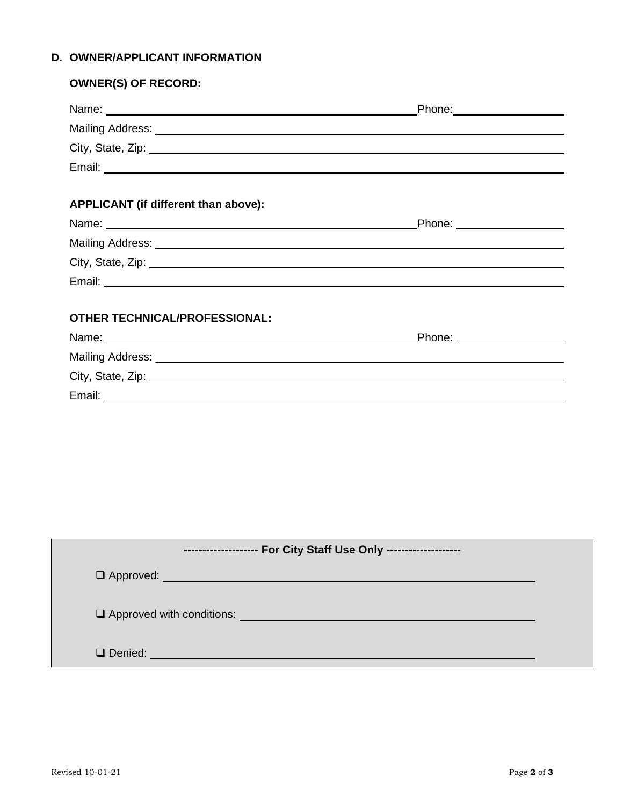# **D. OWNER/APPLICANT INFORMATION**

| <b>OWNER(S) OF RECORD:</b>                                                                                                                                                                                                    |  |
|-------------------------------------------------------------------------------------------------------------------------------------------------------------------------------------------------------------------------------|--|
|                                                                                                                                                                                                                               |  |
|                                                                                                                                                                                                                               |  |
|                                                                                                                                                                                                                               |  |
|                                                                                                                                                                                                                               |  |
|                                                                                                                                                                                                                               |  |
| <b>APPLICANT</b> (if different than above):                                                                                                                                                                                   |  |
|                                                                                                                                                                                                                               |  |
|                                                                                                                                                                                                                               |  |
|                                                                                                                                                                                                                               |  |
|                                                                                                                                                                                                                               |  |
|                                                                                                                                                                                                                               |  |
| <b>OTHER TECHNICAL/PROFESSIONAL:</b>                                                                                                                                                                                          |  |
|                                                                                                                                                                                                                               |  |
|                                                                                                                                                                                                                               |  |
| City, State, Zip: 2008. City, State, Zip: 2008. City, State, Zip: 2008. City, State, Zip: 2008. City, State, Zip: 2008. City, 2008. City, 2008. City, 2008. City, 2008. City, 2008. City, 2008. City, 2008. City, 2008. City, |  |
|                                                                                                                                                                                                                               |  |
|                                                                                                                                                                                                                               |  |
|                                                                                                                                                                                                                               |  |
|                                                                                                                                                                                                                               |  |
|                                                                                                                                                                                                                               |  |
|                                                                                                                                                                                                                               |  |

| -------------------- For City Staff Use Only --------------------                                                                                                                                                                   |  |
|-------------------------------------------------------------------------------------------------------------------------------------------------------------------------------------------------------------------------------------|--|
| Q Approved: <u>Q Approved:</u> Q Approved: Q Approved: Q Approved: Q Approved: Q Approved: Q Approved: Q Approved: Q Approved: Q Approved: Q Approved: Q Approved: Q Approved: Q Approved: Q Approved: Q Approved: Q Approved: Q Ap |  |
| Q Approved with conditions: <u>containing the conditional conditional</u>                                                                                                                                                           |  |
| Q Denied: <b>Q Denied: Q Denied: Q Denied: Q</b> Denied: <b>Q</b> Denied: <b>Q</b> Denied: <b>Q</b> Q 2012                                                                                                                          |  |